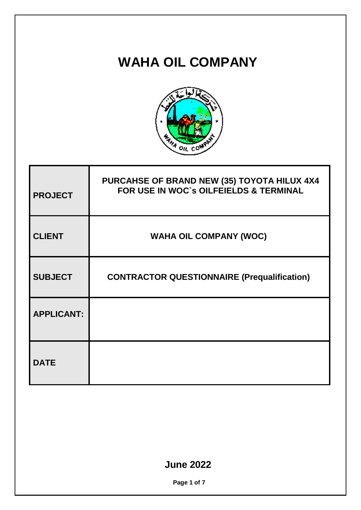## **WAHA OIL COMPANY**



| <b>PROJECT</b>    | PURCAHSE OF BRAND NEW (35) TOYOTA HILUX 4X4<br>FOR USE IN WOC's OILFEIELDS & TERMINAL |  |
|-------------------|---------------------------------------------------------------------------------------|--|
| <b>CLIENT</b>     | <b>WAHA OIL COMPANY (WOC)</b>                                                         |  |
| <b>SUBJECT</b>    | <b>CONTRACTOR QUESTIONNAIRE (Prequalification)</b>                                    |  |
| <b>APPLICANT:</b> |                                                                                       |  |
| <b>DATE</b>       |                                                                                       |  |

## **June 2022**

**Page 1 of 7**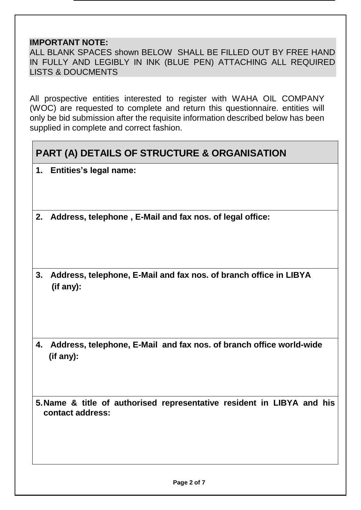## **IMPORTANT NOTE:**

ALL BLANK SPACES shown BELOW SHALL BE FILLED OUT BY FREE HAND IN FULLY AND LEGIBLY IN INK (BLUE PEN) ATTACHING ALL REQUIRED LISTS & DOUCMENTS

All prospective entities interested to register with WAHA OIL COMPANY (WOC) are requested to complete and return this questionnaire. entities will only be bid submission after the requisite information described below has been supplied in complete and correct fashion.

## **PART (A) DETAILS OF STRUCTURE & ORGANISATION**

- **1. Entities's legal name:**
- **2. Address, telephone , E-Mail and fax nos. of legal office:**
- **3. Address, telephone, E-Mail and fax nos. of branch office in LIBYA (if any):**
- **4. Address, telephone, E-Mail and fax nos. of branch office world-wide (if any):**

**5.Name & title of authorised representative resident in LIBYA and his contact address:**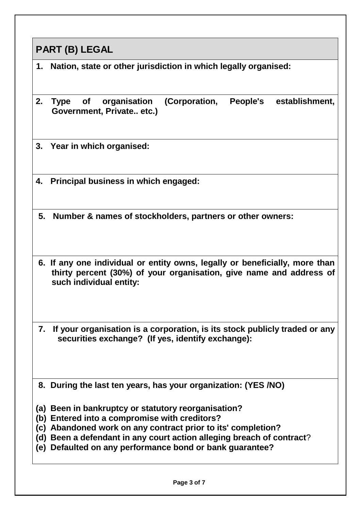|            | PART (B) LEGAL                                                                                                                                                                |  |  |  |  |
|------------|-------------------------------------------------------------------------------------------------------------------------------------------------------------------------------|--|--|--|--|
| 1.         | Nation, state or other jurisdiction in which legally organised:                                                                                                               |  |  |  |  |
| 2.         | organisation<br>(Corporation,<br>People's<br>establishment,<br>Type of<br>Government, Private etc.)                                                                           |  |  |  |  |
| 3.         | Year in which organised:                                                                                                                                                      |  |  |  |  |
| 4.         | Principal business in which engaged:                                                                                                                                          |  |  |  |  |
|            | 5. Number & names of stockholders, partners or other owners:                                                                                                                  |  |  |  |  |
|            | 6. If any one individual or entity owns, legally or beneficially, more than<br>thirty percent (30%) of your organisation, give name and address of<br>such individual entity: |  |  |  |  |
|            | 7. If your organisation is a corporation, is its stock publicly traded or any<br>securities exchange? (If yes, identify exchange):                                            |  |  |  |  |
|            | 8. During the last ten years, has your organization: (YES /NO)                                                                                                                |  |  |  |  |
| (a)        | Been in bankruptcy or statutory reorganisation?                                                                                                                               |  |  |  |  |
|            | (b) Entered into a compromise with creditors?                                                                                                                                 |  |  |  |  |
| (c)<br>(d) | Abandoned work on any contract prior to its' completion?<br>Been a defendant in any court action alleging breach of contract?                                                 |  |  |  |  |
|            | (e) Defaulted on any performance bond or bank guarantee?                                                                                                                      |  |  |  |  |
|            | Page 3 of 7                                                                                                                                                                   |  |  |  |  |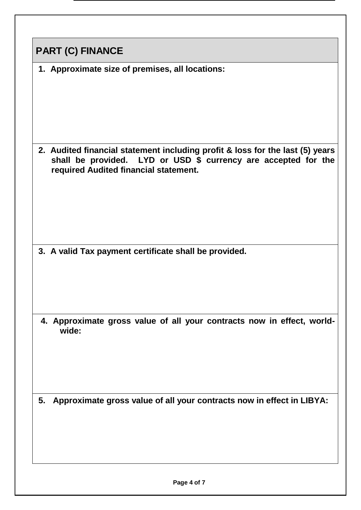| <b>PART (C) FINANCE</b>                                                                                                                                                                  |  |  |
|------------------------------------------------------------------------------------------------------------------------------------------------------------------------------------------|--|--|
| 1. Approximate size of premises, all locations:                                                                                                                                          |  |  |
| 2. Audited financial statement including profit & loss for the last (5) years<br>shall be provided. LYD or USD \$ currency are accepted for the<br>required Audited financial statement. |  |  |
| 3. A valid Tax payment certificate shall be provided.                                                                                                                                    |  |  |
| 4. Approximate gross value of all your contracts now in effect, world-<br>wide:                                                                                                          |  |  |
| Approximate gross value of all your contracts now in effect in LIBYA:<br>5.                                                                                                              |  |  |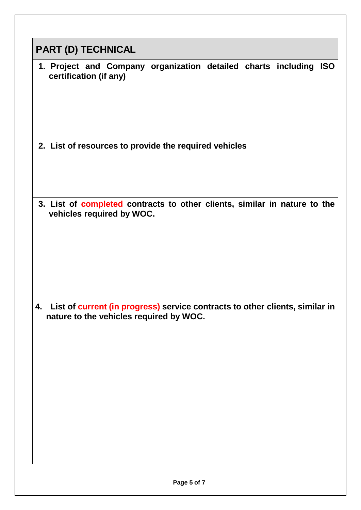| <b>PART (D) TECHNICAL</b><br>1. Project and Company organization detailed charts including ISO<br>certification (if any)<br>2. List of resources to provide the required vehicles<br>3. List of completed contracts to other clients, similar in nature to the<br>vehicles required by WOC.<br>List of current (in progress) service contracts to other clients, similar in<br>4.<br>nature to the vehicles required by WOC. |  |
|------------------------------------------------------------------------------------------------------------------------------------------------------------------------------------------------------------------------------------------------------------------------------------------------------------------------------------------------------------------------------------------------------------------------------|--|
|                                                                                                                                                                                                                                                                                                                                                                                                                              |  |
|                                                                                                                                                                                                                                                                                                                                                                                                                              |  |
|                                                                                                                                                                                                                                                                                                                                                                                                                              |  |
|                                                                                                                                                                                                                                                                                                                                                                                                                              |  |
|                                                                                                                                                                                                                                                                                                                                                                                                                              |  |
|                                                                                                                                                                                                                                                                                                                                                                                                                              |  |
|                                                                                                                                                                                                                                                                                                                                                                                                                              |  |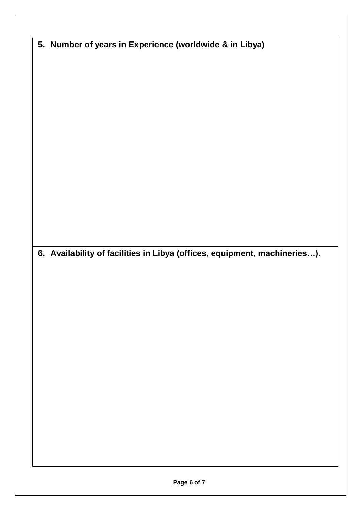| 5. Number of years in Experience (worldwide & in Libya)                   |  |
|---------------------------------------------------------------------------|--|
|                                                                           |  |
|                                                                           |  |
|                                                                           |  |
|                                                                           |  |
|                                                                           |  |
|                                                                           |  |
|                                                                           |  |
|                                                                           |  |
|                                                                           |  |
|                                                                           |  |
|                                                                           |  |
|                                                                           |  |
|                                                                           |  |
|                                                                           |  |
|                                                                           |  |
| 6. Availability of facilities in Libya (offices, equipment, machineries). |  |
|                                                                           |  |
|                                                                           |  |
|                                                                           |  |
|                                                                           |  |
|                                                                           |  |
|                                                                           |  |
|                                                                           |  |
|                                                                           |  |
|                                                                           |  |
|                                                                           |  |
|                                                                           |  |
|                                                                           |  |
|                                                                           |  |
|                                                                           |  |
|                                                                           |  |